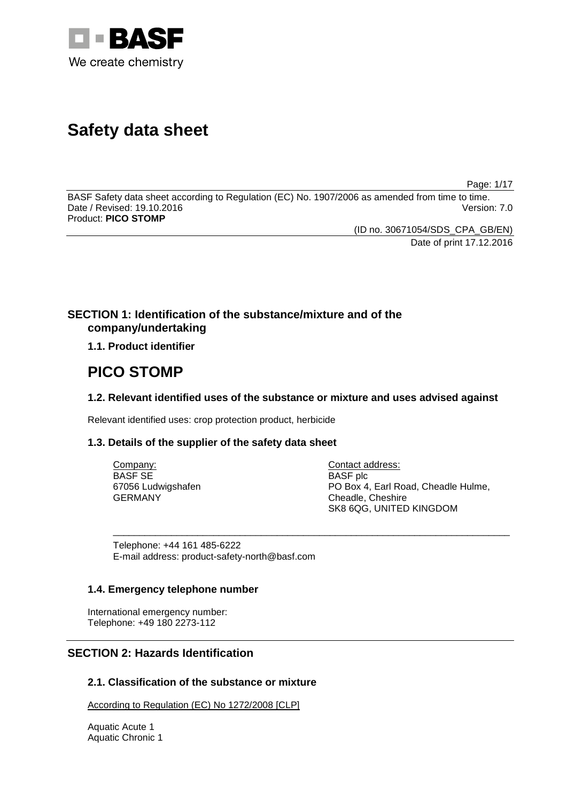

# **Safety data sheet**

Page: 1/17

BASF Safety data sheet according to Regulation (EC) No. 1907/2006 as amended from time to time. Date / Revised: 19.10.2016 Product: **PICO STOMP**

(ID no. 30671054/SDS\_CPA\_GB/EN)

Date of print 17.12.2016

# **SECTION 1: Identification of the substance/mixture and of the company/undertaking**

**1.1. Product identifier**

# **PICO STOMP**

# **1.2. Relevant identified uses of the substance or mixture and uses advised against**

Relevant identified uses: crop protection product, herbicide

# **1.3. Details of the supplier of the safety data sheet**

| Company:           | Contact address:                    |
|--------------------|-------------------------------------|
| BASF SE            | <b>BASF</b> plc                     |
| 67056 Ludwigshafen | PO Box 4, Earl Road, Cheadle Hulme, |
| GERMANY            | Cheadle, Cheshire                   |
|                    | SK8 6QG, UNITED KINGDOM             |

\_\_\_\_\_\_\_\_\_\_\_\_\_\_\_\_\_\_\_\_\_\_\_\_\_\_\_\_\_\_\_\_\_\_\_\_\_\_\_\_\_\_\_\_\_\_\_\_\_\_\_\_\_\_\_\_\_\_\_\_\_\_\_\_\_\_\_\_\_\_\_\_\_\_\_

Telephone: +44 161 485-6222 E-mail address: product-safety-north@basf.com

## **1.4. Emergency telephone number**

International emergency number: Telephone: +49 180 2273-112

# **SECTION 2: Hazards Identification**

# **2.1. Classification of the substance or mixture**

According to Regulation (EC) No 1272/2008 [CLP]

Aquatic Acute 1 Aquatic Chronic 1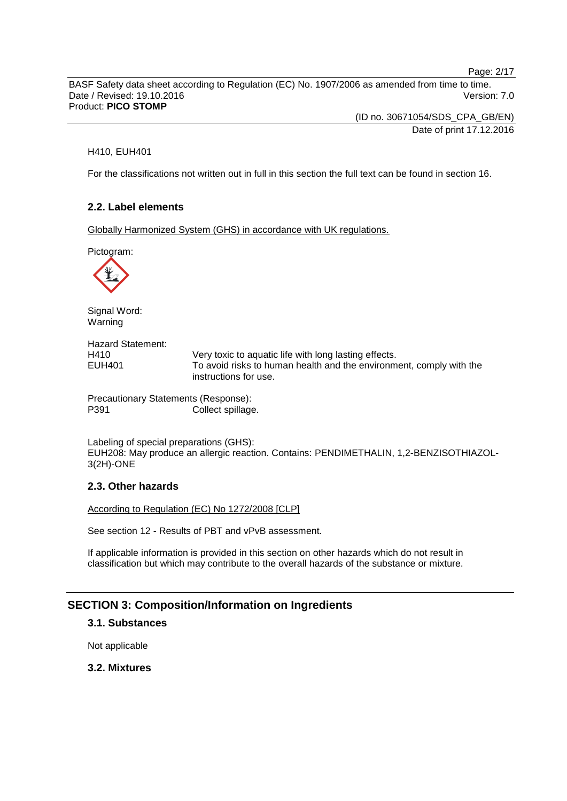Page: 2/17

BASF Safety data sheet according to Regulation (EC) No. 1907/2006 as amended from time to time. Date / Revised: 19.10.2016 Version: 7.0 Product: **PICO STOMP**

> (ID no. 30671054/SDS\_CPA\_GB/EN) Date of print 17.12.2016

#### H410, EUH401

For the classifications not written out in full in this section the full text can be found in section 16.

# **2.2. Label elements**

Globally Harmonized System (GHS) in accordance with UK regulations.

Pictogram:



Signal Word: Warning

Hazard Statement: H410 Very toxic to aquatic life with long lasting effects.<br>EUH401 To avoid risks to human health and the environm To avoid risks to human health and the environment, comply with the instructions for use.

Precautionary Statements (Response): P391 Collect spillage.

Labeling of special preparations (GHS): EUH208: May produce an allergic reaction. Contains: PENDIMETHALIN, 1,2-BENZISOTHIAZOL-3(2H)-ONE

## **2.3. Other hazards**

According to Regulation (EC) No 1272/2008 [CLP]

See section 12 - Results of PBT and vPvB assessment.

If applicable information is provided in this section on other hazards which do not result in classification but which may contribute to the overall hazards of the substance or mixture.

# **SECTION 3: Composition/Information on Ingredients**

# **3.1. Substances**

Not applicable

## **3.2. Mixtures**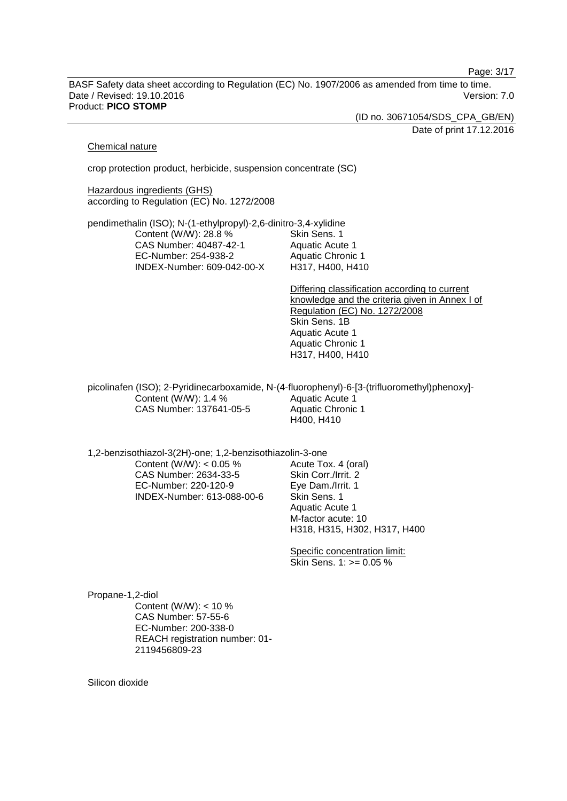Page: 3/17

BASF Safety data sheet according to Regulation (EC) No. 1907/2006 as amended from time to time. Date / Revised: 19.10.2016 Version: 7.0 Product: **PICO STOMP**

(ID no. 30671054/SDS\_CPA\_GB/EN)

Date of print 17.12.2016

#### Chemical nature

crop protection product, herbicide, suspension concentrate (SC)

**Hazardous ingredients (GHS)** according to Regulation (EC) No. 1272/2008

pendimethalin (ISO); N-(1-ethylpropyl)-2,6-dinitro-3,4-xylidine Content (W/W): 28.8 % CAS Number: 40487-42-1 EC-Number: 254-938-2 INDEX-Number: 609-042-00-X Skin Sens. 1 Aquatic Acute 1 Aquatic Chronic 1 H317, H400, H410

> Differing classification according to current knowledge and the criteria given in Annex I of Regulation (EC) No. 1272/2008 Skin Sens. 1B Aquatic Acute 1 Aquatic Chronic 1 H317, H400, H410

picolinafen (ISO); 2-Pyridinecarboxamide, N-(4-fluorophenyl)-6-[3-(trifluoromethyl)phenoxy]- Content (W/W): 1.4 % CAS Number: 137641-05-5 Aquatic Acute 1 Aquatic Chronic 1 H400, H410

1,2-benzisothiazol-3(2H)-one; 1,2-benzisothiazolin-3-one

Content (W/W):  $< 0.05 \%$ CAS Number: 2634-33-5 EC-Number: 220-120-9 INDEX-Number: 613-088-00-6 Acute Tox. 4 (oral) Skin Corr./Irrit. 2 Eye Dam./Irrit. 1 Skin Sens. 1 Aquatic Acute 1 M-factor acute: 10 H318, H315, H302, H317, H400

Specific concentration limit: Skin Sens. 1: >= 0.05 %

Propane-1,2-diol Content (W/W): < 10 % CAS Number: 57-55-6 EC-Number: 200-338-0 REACH registration number: 01- 2119456809-23

Silicon dioxide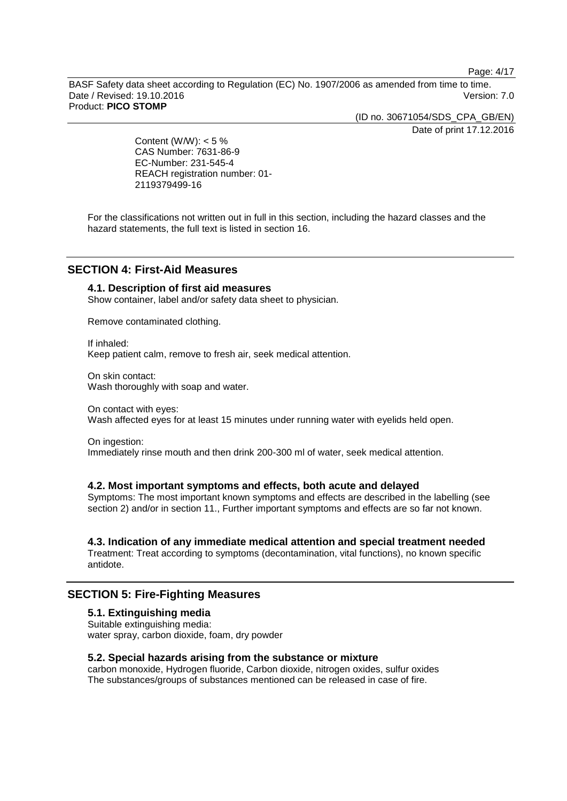Page: 4/17

BASF Safety data sheet according to Regulation (EC) No. 1907/2006 as amended from time to time. Date / Revised: 19.10.2016 Version: 7.0 Product: **PICO STOMP**

(ID no. 30671054/SDS\_CPA\_GB/EN)

Date of print 17.12.2016

Content (W/W):  $< 5 \%$ CAS Number: 7631-86-9 EC-Number: 231-545-4 REACH registration number: 01- 2119379499-16

For the classifications not written out in full in this section, including the hazard classes and the hazard statements, the full text is listed in section 16.

# **SECTION 4: First-Aid Measures**

# **4.1. Description of first aid measures**

Show container, label and/or safety data sheet to physician.

Remove contaminated clothing.

If inhaled: Keep patient calm, remove to fresh air, seek medical attention.

On skin contact: Wash thoroughly with soap and water.

On contact with eyes: Wash affected eyes for at least 15 minutes under running water with eyelids held open.

On ingestion: Immediately rinse mouth and then drink 200-300 ml of water, seek medical attention.

#### **4.2. Most important symptoms and effects, both acute and delayed**

Symptoms: The most important known symptoms and effects are described in the labelling (see section 2) and/or in section 11., Further important symptoms and effects are so far not known.

## **4.3. Indication of any immediate medical attention and special treatment needed**

Treatment: Treat according to symptoms (decontamination, vital functions), no known specific antidote.

# **SECTION 5: Fire-Fighting Measures**

# **5.1. Extinguishing media**

Suitable extinguishing media: water spray, carbon dioxide, foam, dry powder

# **5.2. Special hazards arising from the substance or mixture**

carbon monoxide, Hydrogen fluoride, Carbon dioxide, nitrogen oxides, sulfur oxides The substances/groups of substances mentioned can be released in case of fire.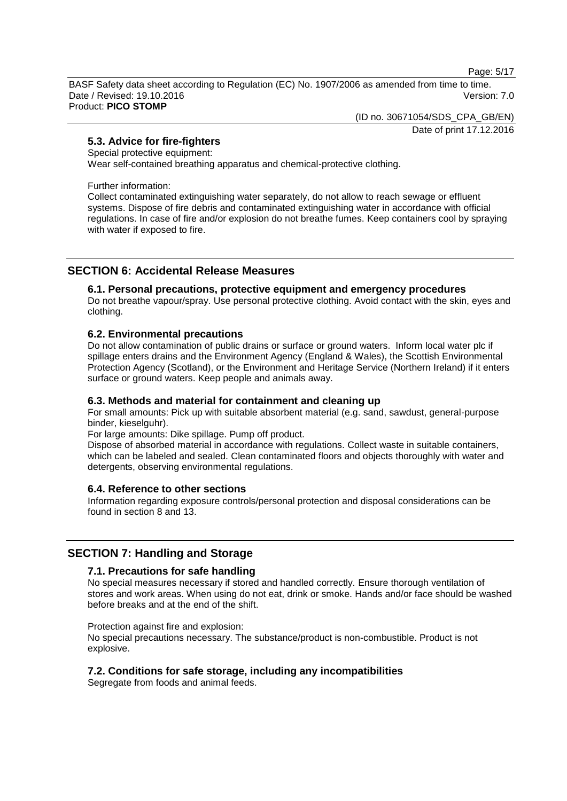Page: 5/17

BASF Safety data sheet according to Regulation (EC) No. 1907/2006 as amended from time to time. Date / Revised: 19.10.2016 **Version: 7.0** Product: **PICO STOMP**

(ID no. 30671054/SDS\_CPA\_GB/EN)

Date of print 17.12.2016

# **5.3. Advice for fire-fighters**

Special protective equipment:

Wear self-contained breathing apparatus and chemical-protective clothing.

Further information:

Collect contaminated extinguishing water separately, do not allow to reach sewage or effluent systems. Dispose of fire debris and contaminated extinguishing water in accordance with official regulations. In case of fire and/or explosion do not breathe fumes. Keep containers cool by spraying with water if exposed to fire.

# **SECTION 6: Accidental Release Measures**

## **6.1. Personal precautions, protective equipment and emergency procedures**

Do not breathe vapour/spray. Use personal protective clothing. Avoid contact with the skin, eyes and clothing.

## **6.2. Environmental precautions**

Do not allow contamination of public drains or surface or ground waters. Inform local water plc if spillage enters drains and the Environment Agency (England & Wales), the Scottish Environmental Protection Agency (Scotland), or the Environment and Heritage Service (Northern Ireland) if it enters surface or ground waters. Keep people and animals away.

# **6.3. Methods and material for containment and cleaning up**

For small amounts: Pick up with suitable absorbent material (e.g. sand, sawdust, general-purpose binder, kieselguhr).

For large amounts: Dike spillage. Pump off product.

Dispose of absorbed material in accordance with regulations. Collect waste in suitable containers, which can be labeled and sealed. Clean contaminated floors and objects thoroughly with water and detergents, observing environmental regulations.

# **6.4. Reference to other sections**

Information regarding exposure controls/personal protection and disposal considerations can be found in section 8 and 13.

# **SECTION 7: Handling and Storage**

## **7.1. Precautions for safe handling**

No special measures necessary if stored and handled correctly. Ensure thorough ventilation of stores and work areas. When using do not eat, drink or smoke. Hands and/or face should be washed before breaks and at the end of the shift.

Protection against fire and explosion:

No special precautions necessary. The substance/product is non-combustible. Product is not explosive.

## **7.2. Conditions for safe storage, including any incompatibilities**

Segregate from foods and animal feeds.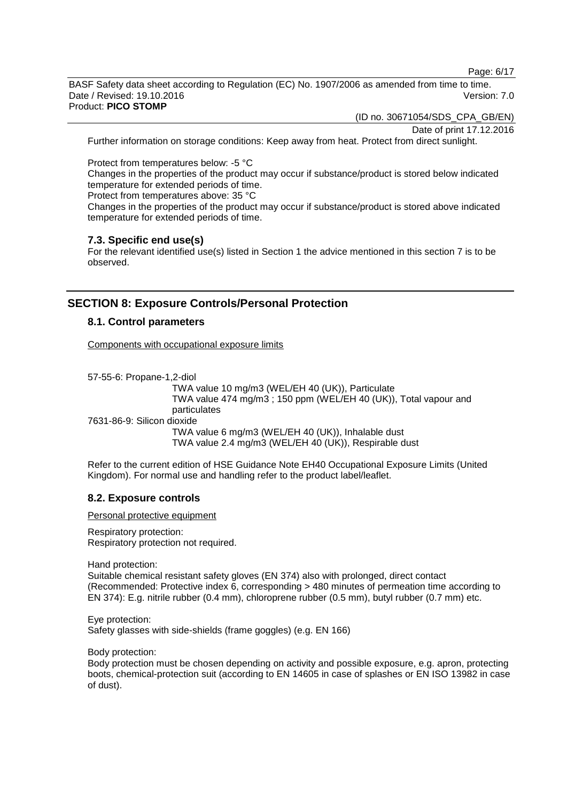Page: 6/17

BASF Safety data sheet according to Regulation (EC) No. 1907/2006 as amended from time to time. Date / Revised: 19.10.2016 Version: 7.0 Product: **PICO STOMP**

(ID no. 30671054/SDS\_CPA\_GB/EN)

Date of print 17.12.2016

Further information on storage conditions: Keep away from heat. Protect from direct sunlight.

Protect from temperatures below: -5 °C

Changes in the properties of the product may occur if substance/product is stored below indicated temperature for extended periods of time.

Protect from temperatures above: 35 °C

Changes in the properties of the product may occur if substance/product is stored above indicated temperature for extended periods of time.

## **7.3. Specific end use(s)**

For the relevant identified use(s) listed in Section 1 the advice mentioned in this section 7 is to be observed.

# **SECTION 8: Exposure Controls/Personal Protection**

## **8.1. Control parameters**

Components with occupational exposure limits

57-55-6: Propane-1,2-diol

TWA value 10 mg/m3 (WEL/EH 40 (UK)), Particulate TWA value 474 mg/m3 ; 150 ppm (WEL/EH 40 (UK)), Total vapour and particulates 7631-86-9: Silicon dioxide TWA value 6 mg/m3 (WEL/EH 40 (UK)), Inhalable dust

TWA value 2.4 mg/m3 (WEL/EH 40 (UK)), Respirable dust

Refer to the current edition of HSE Guidance Note EH40 Occupational Exposure Limits (United Kingdom). For normal use and handling refer to the product label/leaflet.

## **8.2. Exposure controls**

Personal protective equipment

Respiratory protection: Respiratory protection not required.

Hand protection:

Suitable chemical resistant safety gloves (EN 374) also with prolonged, direct contact (Recommended: Protective index 6, corresponding > 480 minutes of permeation time according to EN 374): E.g. nitrile rubber (0.4 mm), chloroprene rubber (0.5 mm), butyl rubber (0.7 mm) etc.

Eye protection: Safety glasses with side-shields (frame goggles) (e.g. EN 166)

Body protection:

Body protection must be chosen depending on activity and possible exposure, e.g. apron, protecting boots, chemical-protection suit (according to EN 14605 in case of splashes or EN ISO 13982 in case of dust).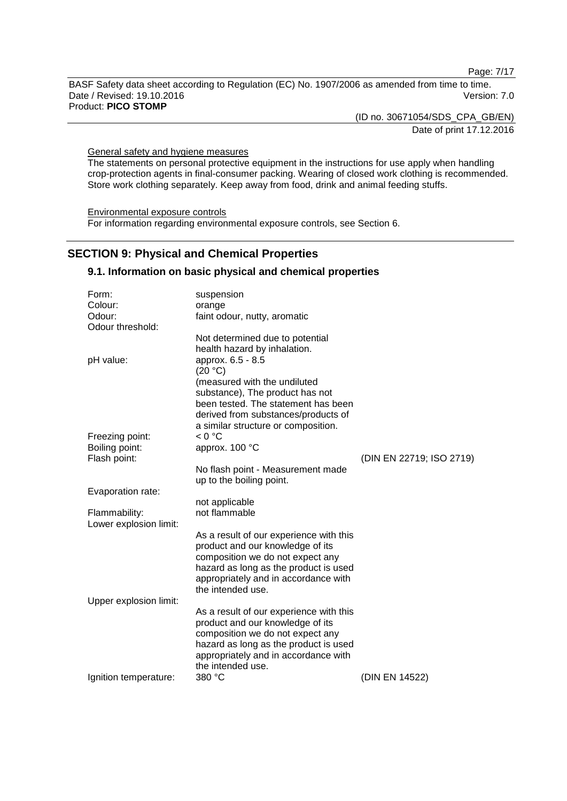Page: 7/17

BASF Safety data sheet according to Regulation (EC) No. 1907/2006 as amended from time to time. Date / Revised: 19.10.2016 Version: 7.0 Product: **PICO STOMP**

> (ID no. 30671054/SDS\_CPA\_GB/EN) Date of print 17.12.2016

General safety and hygiene measures

The statements on personal protective equipment in the instructions for use apply when handling crop-protection agents in final-consumer packing. Wearing of closed work clothing is recommended. Store work clothing separately. Keep away from food, drink and animal feeding stuffs.

Environmental exposure controls For information regarding environmental exposure controls, see Section 6.

# **SECTION 9: Physical and Chemical Properties**

## **9.1. Information on basic physical and chemical properties**

| Form:                  | suspension                                                             |                          |
|------------------------|------------------------------------------------------------------------|--------------------------|
| Colour:                | orange                                                                 |                          |
| Odour:                 | faint odour, nutty, aromatic                                           |                          |
| Odour threshold:       |                                                                        |                          |
|                        | Not determined due to potential                                        |                          |
|                        | health hazard by inhalation.                                           |                          |
| pH value:              | approx. 6.5 - 8.5                                                      |                          |
|                        | (20 °C)                                                                |                          |
|                        | (measured with the undiluted                                           |                          |
|                        | substance), The product has not<br>been tested. The statement has been |                          |
|                        | derived from substances/products of                                    |                          |
|                        | a similar structure or composition.                                    |                          |
| Freezing point:        | < 0 °C                                                                 |                          |
| Boiling point:         | approx. 100 °C                                                         |                          |
| Flash point:           |                                                                        | (DIN EN 22719; ISO 2719) |
|                        | No flash point - Measurement made                                      |                          |
|                        | up to the boiling point.                                               |                          |
| Evaporation rate:      |                                                                        |                          |
|                        | not applicable                                                         |                          |
| Flammability:          | not flammable                                                          |                          |
| Lower explosion limit: |                                                                        |                          |
|                        | As a result of our experience with this                                |                          |
|                        | product and our knowledge of its                                       |                          |
|                        | composition we do not expect any                                       |                          |
|                        | hazard as long as the product is used                                  |                          |
|                        | appropriately and in accordance with<br>the intended use.              |                          |
| Upper explosion limit: |                                                                        |                          |
|                        | As a result of our experience with this                                |                          |
|                        | product and our knowledge of its                                       |                          |
|                        | composition we do not expect any                                       |                          |
|                        | hazard as long as the product is used                                  |                          |
|                        | appropriately and in accordance with                                   |                          |
|                        | the intended use.                                                      |                          |
| Ignition temperature:  | 380 °C                                                                 | (DIN EN 14522)           |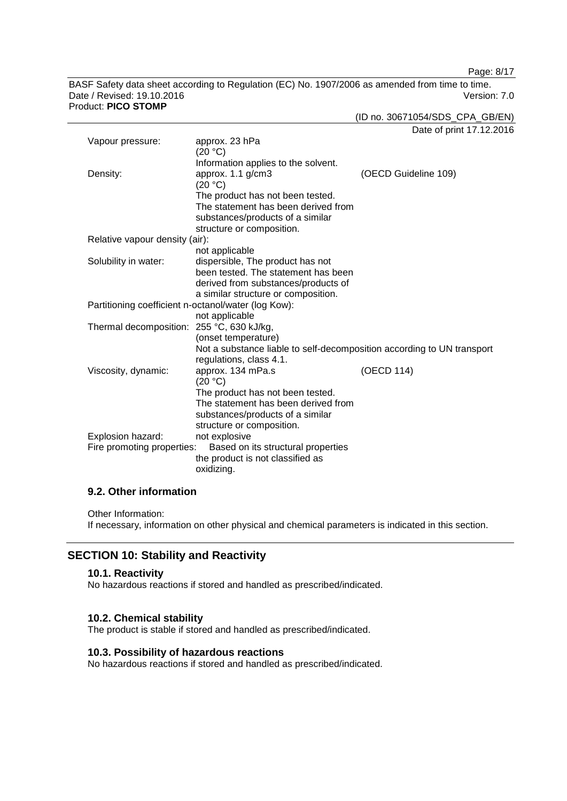Page: 8/17

BASF Safety data sheet according to Regulation (EC) No. 1907/2006 as amended from time to time. Date / Revised: 19.10.2016 Version: 7.0 Product: **PICO STOMP**

(ID no. 30671054/SDS\_CPA\_GB/EN)

Date of print 17.12.2016

| Vapour pressure:                                                 | approx. 23 hPa<br>(20 °C)                                              |                      |
|------------------------------------------------------------------|------------------------------------------------------------------------|----------------------|
|                                                                  | Information applies to the solvent.                                    |                      |
| Density:                                                         | approx. 1.1 g/cm3                                                      | (OECD Guideline 109) |
|                                                                  | (20 °C)                                                                |                      |
|                                                                  | The product has not been tested.                                       |                      |
|                                                                  | The statement has been derived from                                    |                      |
|                                                                  | substances/products of a similar                                       |                      |
|                                                                  | structure or composition.                                              |                      |
| Relative vapour density (air):                                   |                                                                        |                      |
|                                                                  | not applicable                                                         |                      |
| Solubility in water:                                             | dispersible, The product has not                                       |                      |
|                                                                  | been tested. The statement has been                                    |                      |
|                                                                  | derived from substances/products of                                    |                      |
|                                                                  | a similar structure or composition.                                    |                      |
| Partitioning coefficient n-octanol/water (log Kow):              |                                                                        |                      |
|                                                                  | not applicable                                                         |                      |
| Thermal decomposition: 255 °C, 630 kJ/kg,                        |                                                                        |                      |
|                                                                  | (onset temperature)                                                    |                      |
|                                                                  | Not a substance liable to self-decomposition according to UN transport |                      |
|                                                                  | regulations, class 4.1.                                                |                      |
| Viscosity, dynamic:                                              | approx. 134 mPa.s<br>(20 °C)                                           | (OECD 114)           |
|                                                                  | The product has not been tested.                                       |                      |
|                                                                  | The statement has been derived from                                    |                      |
|                                                                  | substances/products of a similar                                       |                      |
|                                                                  | structure or composition.                                              |                      |
| Explosion hazard:                                                | not explosive                                                          |                      |
| Fire promoting properties:<br>Based on its structural properties |                                                                        |                      |
|                                                                  | the product is not classified as                                       |                      |
|                                                                  | oxidizing.                                                             |                      |

## **9.2. Other information**

Other Information:

If necessary, information on other physical and chemical parameters is indicated in this section.

## **SECTION 10: Stability and Reactivity**

## **10.1. Reactivity**

No hazardous reactions if stored and handled as prescribed/indicated.

#### **10.2. Chemical stability**

The product is stable if stored and handled as prescribed/indicated.

# **10.3. Possibility of hazardous reactions**

No hazardous reactions if stored and handled as prescribed/indicated.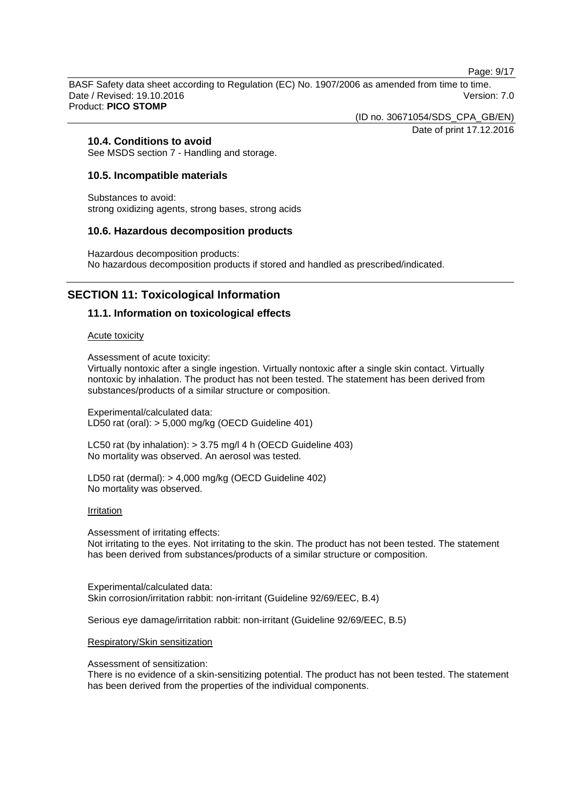Page: 9/17

BASF Safety data sheet according to Regulation (EC) No. 1907/2006 as amended from time to time. Date / Revised: 19.10.2016 Version: 7.0 Product: **PICO STOMP**

(ID no. 30671054/SDS\_CPA\_GB/EN)

Date of print 17.12.2016

## **10.4. Conditions to avoid**

See MSDS section 7 - Handling and storage.

## **10.5. Incompatible materials**

Substances to avoid: strong oxidizing agents, strong bases, strong acids

## **10.6. Hazardous decomposition products**

Hazardous decomposition products: No hazardous decomposition products if stored and handled as prescribed/indicated.

# **SECTION 11: Toxicological Information**

## **11.1. Information on toxicological effects**

#### Acute toxicity

Assessment of acute toxicity:

Virtually nontoxic after a single ingestion. Virtually nontoxic after a single skin contact. Virtually nontoxic by inhalation. The product has not been tested. The statement has been derived from substances/products of a similar structure or composition.

Experimental/calculated data: LD50 rat (oral): > 5,000 mg/kg (OECD Guideline 401)

LC50 rat (by inhalation): > 3.75 mg/l 4 h (OECD Guideline 403) No mortality was observed. An aerosol was tested.

LD50 rat (dermal): > 4,000 mg/kg (OECD Guideline 402) No mortality was observed.

#### Irritation

Assessment of irritating effects: Not irritating to the eyes. Not irritating to the skin. The product has not been tested. The statement has been derived from substances/products of a similar structure or composition.

Experimental/calculated data: Skin corrosion/irritation rabbit: non-irritant (Guideline 92/69/EEC, B.4)

Serious eye damage/irritation rabbit: non-irritant (Guideline 92/69/EEC, B.5)

#### Respiratory/Skin sensitization

Assessment of sensitization:

There is no evidence of a skin-sensitizing potential. The product has not been tested. The statement has been derived from the properties of the individual components.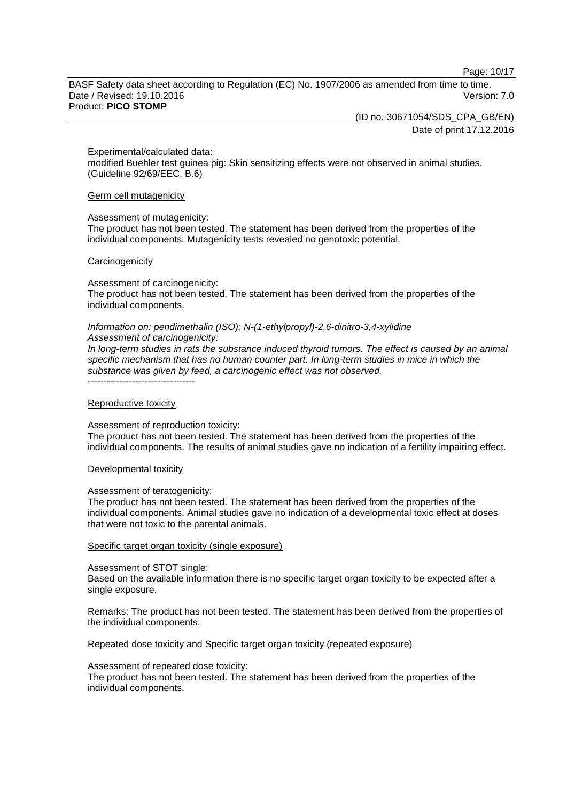Page: 10/17

BASF Safety data sheet according to Regulation (EC) No. 1907/2006 as amended from time to time. Date / Revised: 19.10.2016 Version: 7.0 Product: **PICO STOMP**

(ID no. 30671054/SDS\_CPA\_GB/EN)

Date of print 17.12.2016

Experimental/calculated data:

modified Buehler test guinea pig: Skin sensitizing effects were not observed in animal studies. (Guideline 92/69/EEC, B.6)

Germ cell mutagenicity

#### Assessment of mutagenicity:

The product has not been tested. The statement has been derived from the properties of the individual components. Mutagenicity tests revealed no genotoxic potential.

#### **Carcinogenicity**

Assessment of carcinogenicity:

The product has not been tested. The statement has been derived from the properties of the individual components.

#### *Information on: pendimethalin (ISO); N-(1-ethylpropyl)-2,6-dinitro-3,4-xylidine Assessment of carcinogenicity:*

*In long-term studies in rats the substance induced thyroid tumors. The effect is caused by an animal specific mechanism that has no human counter part. In long-term studies in mice in which the substance was given by feed, a carcinogenic effect was not observed.* ----------------------------------

#### Reproductive toxicity

#### Assessment of reproduction toxicity:

The product has not been tested. The statement has been derived from the properties of the individual components. The results of animal studies gave no indication of a fertility impairing effect.

#### Developmental toxicity

#### Assessment of teratogenicity:

The product has not been tested. The statement has been derived from the properties of the individual components. Animal studies gave no indication of a developmental toxic effect at doses that were not toxic to the parental animals.

#### Specific target organ toxicity (single exposure)

#### Assessment of STOT single:

Based on the available information there is no specific target organ toxicity to be expected after a single exposure.

Remarks: The product has not been tested. The statement has been derived from the properties of the individual components.

#### Repeated dose toxicity and Specific target organ toxicity (repeated exposure)

#### Assessment of repeated dose toxicity:

The product has not been tested. The statement has been derived from the properties of the individual components.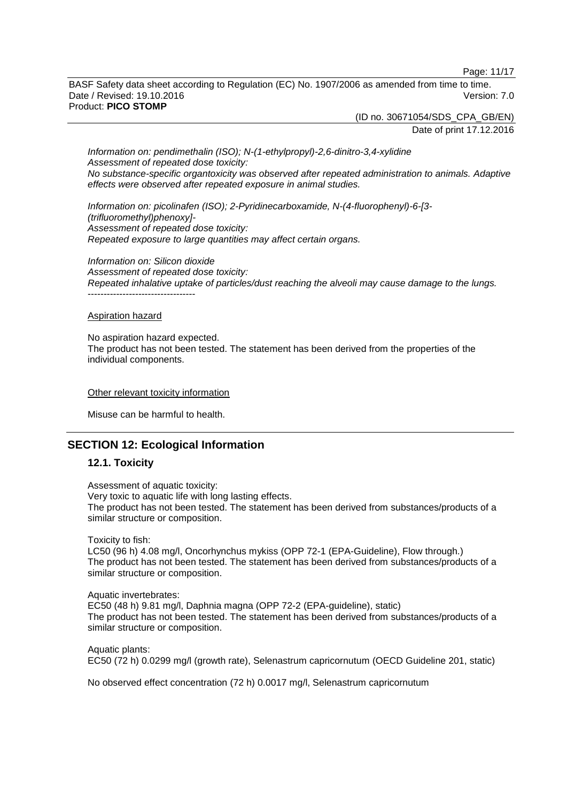Page: 11/17

BASF Safety data sheet according to Regulation (EC) No. 1907/2006 as amended from time to time. Date / Revised: 19.10.2016 **Version: 7.0** Product: **PICO STOMP**

> (ID no. 30671054/SDS\_CPA\_GB/EN) Date of print 17.12.2016

*Information on: pendimethalin (ISO); N-(1-ethylpropyl)-2,6-dinitro-3,4-xylidine Assessment of repeated dose toxicity: No substance-specific organtoxicity was observed after repeated administration to animals. Adaptive effects were observed after repeated exposure in animal studies.*

*Information on: picolinafen (ISO); 2-Pyridinecarboxamide, N-(4-fluorophenyl)-6-[3- (trifluoromethyl)phenoxy]- Assessment of repeated dose toxicity: Repeated exposure to large quantities may affect certain organs.*

*Information on: Silicon dioxide Assessment of repeated dose toxicity: Repeated inhalative uptake of particles/dust reaching the alveoli may cause damage to the lungs.* ----------------------------------

#### Aspiration hazard

No aspiration hazard expected. The product has not been tested. The statement has been derived from the properties of the individual components.

#### Other relevant toxicity information

Misuse can be harmful to health.

# **SECTION 12: Ecological Information**

## **12.1. Toxicity**

Assessment of aquatic toxicity: Very toxic to aquatic life with long lasting effects. The product has not been tested. The statement has been derived from substances/products of a similar structure or composition.

Toxicity to fish:

LC50 (96 h) 4.08 mg/l, Oncorhynchus mykiss (OPP 72-1 (EPA-Guideline), Flow through.) The product has not been tested. The statement has been derived from substances/products of a similar structure or composition.

Aquatic invertebrates: EC50 (48 h) 9.81 mg/l, Daphnia magna (OPP 72-2 (EPA-guideline), static) The product has not been tested. The statement has been derived from substances/products of a similar structure or composition.

Aquatic plants: EC50 (72 h) 0.0299 mg/l (growth rate), Selenastrum capricornutum (OECD Guideline 201, static)

No observed effect concentration (72 h) 0.0017 mg/l, Selenastrum capricornutum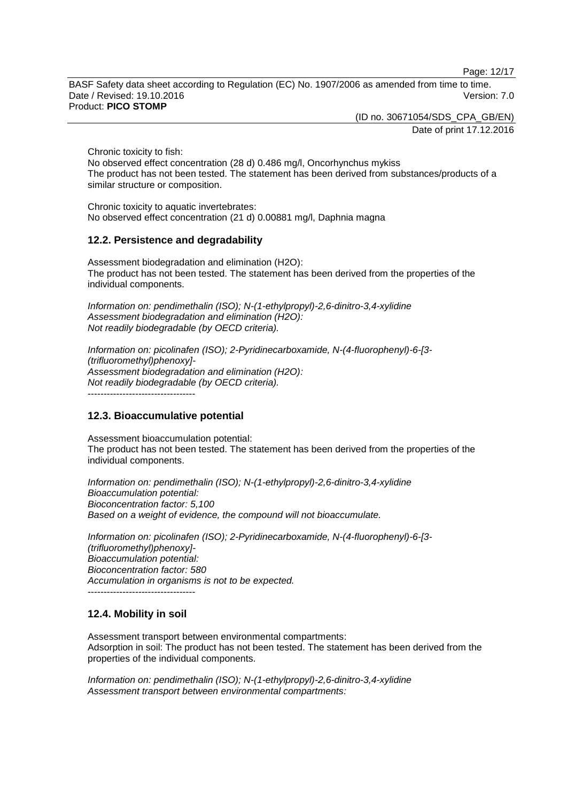Page: 12/17

BASF Safety data sheet according to Regulation (EC) No. 1907/2006 as amended from time to time. Date / Revised: 19.10.2016 **Version: 7.0** Product: **PICO STOMP**

(ID no. 30671054/SDS\_CPA\_GB/EN)

Date of print 17.12.2016

Chronic toxicity to fish:

No observed effect concentration (28 d) 0.486 mg/l, Oncorhynchus mykiss The product has not been tested. The statement has been derived from substances/products of a similar structure or composition.

Chronic toxicity to aquatic invertebrates: No observed effect concentration (21 d) 0.00881 mg/l, Daphnia magna

# **12.2. Persistence and degradability**

Assessment biodegradation and elimination (H2O): The product has not been tested. The statement has been derived from the properties of the individual components.

*Information on: pendimethalin (ISO); N-(1-ethylpropyl)-2,6-dinitro-3,4-xylidine Assessment biodegradation and elimination (H2O): Not readily biodegradable (by OECD criteria).*

*Information on: picolinafen (ISO); 2-Pyridinecarboxamide, N-(4-fluorophenyl)-6-[3- (trifluoromethyl)phenoxy]- Assessment biodegradation and elimination (H2O): Not readily biodegradable (by OECD criteria).* ----------------------------------

**12.3. Bioaccumulative potential**

Assessment bioaccumulation potential: The product has not been tested. The statement has been derived from the properties of the individual components.

*Information on: pendimethalin (ISO); N-(1-ethylpropyl)-2,6-dinitro-3,4-xylidine Bioaccumulation potential: Bioconcentration factor: 5,100 Based on a weight of evidence, the compound will not bioaccumulate.*

```
Information on: picolinafen (ISO); 2-Pyridinecarboxamide, N-(4-fluorophenyl)-6-[3-
(trifluoromethyl)phenoxy]-
Bioaccumulation potential:
Bioconcentration factor: 580
Accumulation in organisms is not to be expected.
    ----------------------------------
```
# **12.4. Mobility in soil**

Assessment transport between environmental compartments: Adsorption in soil: The product has not been tested. The statement has been derived from the properties of the individual components.

*Information on: pendimethalin (ISO); N-(1-ethylpropyl)-2,6-dinitro-3,4-xylidine Assessment transport between environmental compartments:*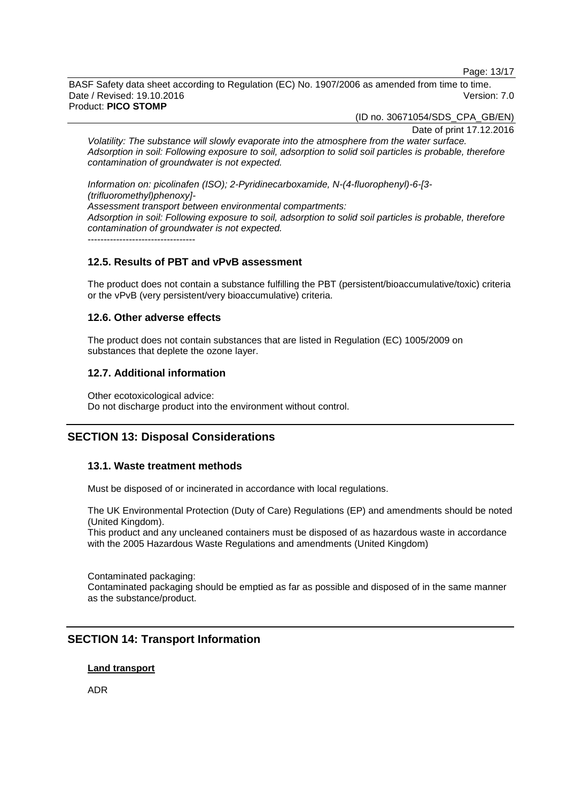Page: 13/17

BASF Safety data sheet according to Regulation (EC) No. 1907/2006 as amended from time to time. Date / Revised: 19.10.2016 Version: 7.0 Product: **PICO STOMP**

(ID no. 30671054/SDS\_CPA\_GB/EN)

Date of print 17.12.2016

*Volatility: The substance will slowly evaporate into the atmosphere from the water surface. Adsorption in soil: Following exposure to soil, adsorption to solid soil particles is probable, therefore contamination of groundwater is not expected.*

*Information on: picolinafen (ISO); 2-Pyridinecarboxamide, N-(4-fluorophenyl)-6-[3- (trifluoromethyl)phenoxy]- Assessment transport between environmental compartments: Adsorption in soil: Following exposure to soil, adsorption to solid soil particles is probable, therefore contamination of groundwater is not expected.* ----------------------------------

# **12.5. Results of PBT and vPvB assessment**

The product does not contain a substance fulfilling the PBT (persistent/bioaccumulative/toxic) criteria or the vPvB (very persistent/very bioaccumulative) criteria.

## **12.6. Other adverse effects**

The product does not contain substances that are listed in Regulation (EC) 1005/2009 on substances that deplete the ozone layer.

## **12.7. Additional information**

Other ecotoxicological advice: Do not discharge product into the environment without control.

# **SECTION 13: Disposal Considerations**

## **13.1. Waste treatment methods**

Must be disposed of or incinerated in accordance with local regulations.

The UK Environmental Protection (Duty of Care) Regulations (EP) and amendments should be noted (United Kingdom).

This product and any uncleaned containers must be disposed of as hazardous waste in accordance with the 2005 Hazardous Waste Regulations and amendments (United Kingdom)

Contaminated packaging: Contaminated packaging should be emptied as far as possible and disposed of in the same manner as the substance/product.

# **SECTION 14: Transport Information**

#### **Land transport**

ADR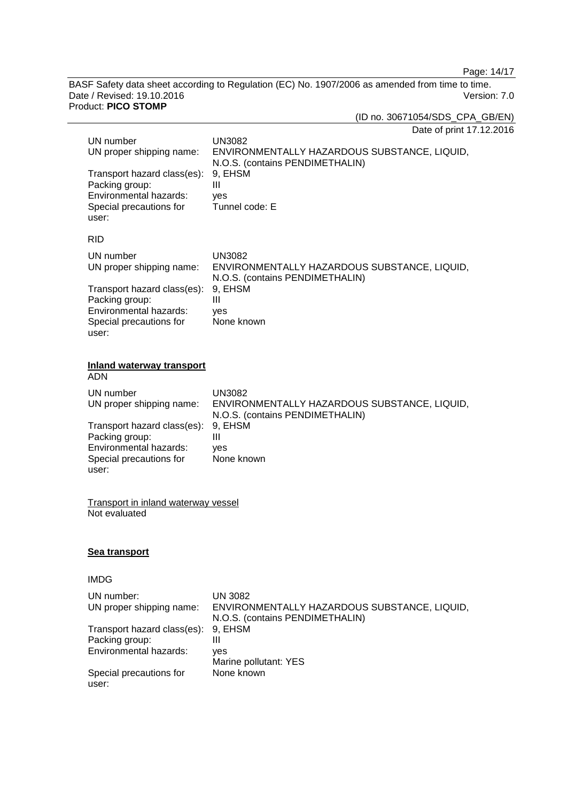Page: 14/17

BASF Safety data sheet according to Regulation (EC) No. 1907/2006 as amended from time to time. Date / Revised: 19.10.2016 Version: 7.0 Product: **PICO STOMP**

(ID no. 30671054/SDS\_CPA\_GB/EN)

Date of print 17.12.2016

| UN number<br>UN proper shipping name:<br>Transport hazard class(es):<br>Packing group:<br>Environmental hazards:<br>Special precautions for<br>user: | <b>UN3082</b><br>ENVIRONMENTALLY HAZARDOUS SUBSTANCE, LIQUID,<br>N.O.S. (contains PENDIMETHALIN)<br>9, EHSM<br>Ш<br>yes<br>Tunnel code: E |  |
|------------------------------------------------------------------------------------------------------------------------------------------------------|-------------------------------------------------------------------------------------------------------------------------------------------|--|
| <b>RID</b>                                                                                                                                           |                                                                                                                                           |  |
| UN number<br>UN proper shipping name:                                                                                                                | <b>UN3082</b><br>ENVIRONMENTALLY HAZARDOUS SUBSTANCE, LIQUID,<br>N.O.S. (contains PENDIMETHALIN)                                          |  |
| Transport hazard class(es):<br>Packing group:<br>Environmental hazards:<br>Special precautions for<br>user:                                          | 9, EHSM<br>Ш<br>ves<br>None known                                                                                                         |  |
| <b>Inland waterway transport</b><br><b>ADN</b>                                                                                                       |                                                                                                                                           |  |
| UN number<br>UN proper shipping name:                                                                                                                | <b>UN3082</b><br>ENVIRONMENTALLY HAZARDOUS SUBSTANCE, LIQUID,<br>N.O.S. (contains PENDIMETHALIN)                                          |  |
| Transport hazard class(es):<br>Packing group:<br>Environmental hazards:<br>Special precautions for<br>user:                                          | 9, EHSM<br>Ш<br>ves<br>None known                                                                                                         |  |
| <b>Transport in inland waterway vessel</b><br>Not evaluated                                                                                          |                                                                                                                                           |  |
| Sea transport                                                                                                                                        |                                                                                                                                           |  |
| <b>IMDG</b>                                                                                                                                          |                                                                                                                                           |  |
| UN number:<br>UN proper shipping name:                                                                                                               | <b>UN 3082</b><br>ENVIRONMENTALLY HAZARDOUS SUBSTANCE, LIQUID,<br>N.O.S. (contains PENDIMETHALIN)                                         |  |
| Transport hazard class(es):<br>Packing group:<br>Environmental hazards:                                                                              | 9, EHSM<br>Ш<br>yes                                                                                                                       |  |
| Special precautions for<br>user:                                                                                                                     | Marine pollutant: YES<br>None known                                                                                                       |  |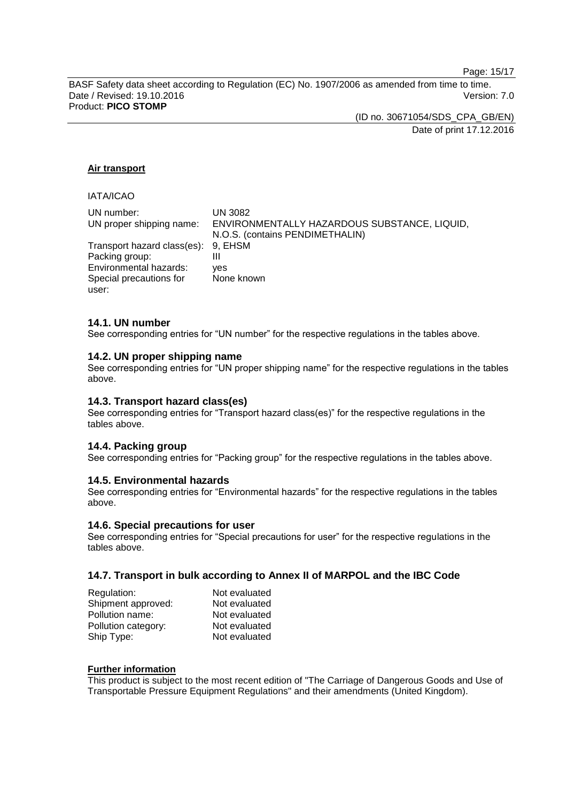Page: 15/17

BASF Safety data sheet according to Regulation (EC) No. 1907/2006 as amended from time to time. Date / Revised: 19.10.2016 Version: 7.0 Product: **PICO STOMP**

> (ID no. 30671054/SDS\_CPA\_GB/EN) Date of print 17.12.2016

## **Air transport**

# IATA/ICAO

| UN number:<br>UN proper shipping name: | UN 3082<br>ENVIRONMENTALLY HAZARDOUS SUBSTANCE, LIQUID, |
|----------------------------------------|---------------------------------------------------------|
|                                        | N.O.S. (contains PENDIMETHALIN)                         |
| Transport hazard class(es): 9, EHSM    |                                                         |
| Packing group:                         | Ш                                                       |
| Environmental hazards:                 | ves                                                     |
| Special precautions for                | None known                                              |
| user:                                  |                                                         |

#### **14.1. UN number**

See corresponding entries for "UN number" for the respective regulations in the tables above.

#### **14.2. UN proper shipping name**

See corresponding entries for "UN proper shipping name" for the respective regulations in the tables above.

## **14.3. Transport hazard class(es)**

See corresponding entries for "Transport hazard class(es)" for the respective regulations in the tables above.

# **14.4. Packing group**

See corresponding entries for "Packing group" for the respective regulations in the tables above.

#### **14.5. Environmental hazards**

See corresponding entries for "Environmental hazards" for the respective regulations in the tables above.

#### **14.6. Special precautions for user**

See corresponding entries for "Special precautions for user" for the respective regulations in the tables above.

## **14.7. Transport in bulk according to Annex II of MARPOL and the IBC Code**

| Regulation:         | Not evaluated |
|---------------------|---------------|
| Shipment approved:  | Not evaluated |
| Pollution name:     | Not evaluated |
| Pollution category: | Not evaluated |
| Ship Type:          | Not evaluated |

#### **Further information**

This product is subject to the most recent edition of "The Carriage of Dangerous Goods and Use of Transportable Pressure Equipment Regulations" and their amendments (United Kingdom).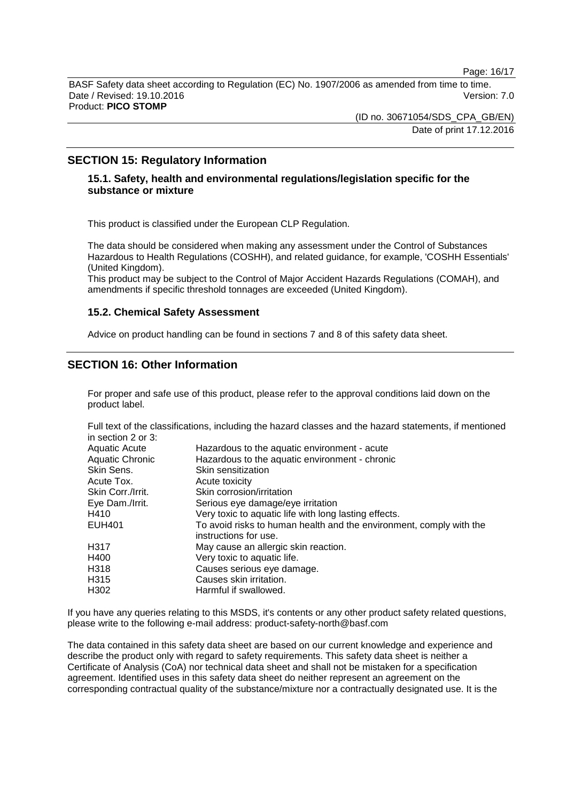Page: 16/17

BASF Safety data sheet according to Regulation (EC) No. 1907/2006 as amended from time to time. Date / Revised: 19.10.2016 Version: 7.0 Product: **PICO STOMP**

> (ID no. 30671054/SDS\_CPA\_GB/EN) Date of print 17.12.2016

# **SECTION 15: Regulatory Information**

# **15.1. Safety, health and environmental regulations/legislation specific for the substance or mixture**

This product is classified under the European CLP Regulation.

The data should be considered when making any assessment under the Control of Substances Hazardous to Health Regulations (COSHH), and related guidance, for example, 'COSHH Essentials' (United Kingdom).

This product may be subject to the Control of Major Accident Hazards Regulations (COMAH), and amendments if specific threshold tonnages are exceeded (United Kingdom).

#### **15.2. Chemical Safety Assessment**

Advice on product handling can be found in sections 7 and 8 of this safety data sheet.

# **SECTION 16: Other Information**

For proper and safe use of this product, please refer to the approval conditions laid down on the product label.

Full text of the classifications, including the hazard classes and the hazard statements, if mentioned in section 2 or 3:

| Hazardous to the aquatic environment - acute<br>Hazardous to the aquatic environment - chronic<br>Skin sensitization |
|----------------------------------------------------------------------------------------------------------------------|
| Acute toxicity                                                                                                       |
| Skin corrosion/irritation                                                                                            |
| Serious eye damage/eye irritation                                                                                    |
| Very toxic to aquatic life with long lasting effects.                                                                |
| To avoid risks to human health and the environment, comply with the<br>instructions for use.                         |
| May cause an allergic skin reaction.                                                                                 |
| Very toxic to aquatic life.                                                                                          |
| Causes serious eye damage.                                                                                           |
| Causes skin irritation.                                                                                              |
| Harmful if swallowed.                                                                                                |
|                                                                                                                      |

If you have any queries relating to this MSDS, it's contents or any other product safety related questions, please write to the following e-mail address: product-safety-north@basf.com

The data contained in this safety data sheet are based on our current knowledge and experience and describe the product only with regard to safety requirements. This safety data sheet is neither a Certificate of Analysis (CoA) nor technical data sheet and shall not be mistaken for a specification agreement. Identified uses in this safety data sheet do neither represent an agreement on the corresponding contractual quality of the substance/mixture nor a contractually designated use. It is the